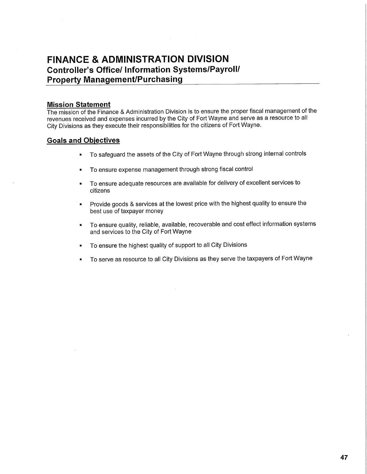# **FINANCE & ADMINISTRATION DIVISION Controller's Office/ Information Systems/Payroll/ Property Management/Purchasing**

### **Mission Statement**

The mission of the Finance & Administration Division is to ensure the proper fiscal management of the revenues received and expenses incurred by the City of Fort Wayne and serve as a resource to all City Divisions as they execute their responsibilities for the citizens of Fort Wayne.

## **Goals and Objectives**

- \* To safeguard the assets of the City of Fort Wayne through strong internal controls
- To ensure expense management through strong fiscal control
- To ensure adequate resources are available for delivery of excellent services to citizens
- Provide goods & services at the lowest price with the highest quality to ensure the best use of taxpayer money
- To ensure quality, reliable, available, recoverable and cost effect information systems and services to the City of Fort Wayne
- To ensure the highest quality of support to all City Divisions
- To serve as resource to all City Divisions as they serve the taxpayers of Fort Wayne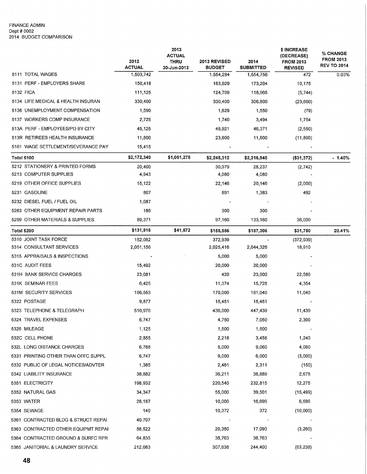#### FINANCE ADMIN Dept # 0002 2014 BUDGET COMPARISON

 $\mathcal{A}^{\mathcal{A}}$ 

|                                     | 2012<br><b>ACTUAL</b> | 2013<br>ACTUAL<br><b>THRU</b><br>30-Jun-2013 | 2013 REVISED<br><b>BUDGET</b> | 2014<br><b>SUBMITTED</b> | \$ INCREASE<br>(DECREASE)<br><b>FROM 2013</b><br><b>REVISED</b> | % CHANGE<br><b>FROM 2013</b><br><b>REV TO 2014</b> |
|-------------------------------------|-----------------------|----------------------------------------------|-------------------------------|--------------------------|-----------------------------------------------------------------|----------------------------------------------------|
| 5111 TOTAL WAGES                    | 1,503,742             |                                              | 1,554,284                     | 1,554,756                | 472                                                             | 0.03%                                              |
| 5131 PERF - EMPLOYERS SHARE         | 150,418               |                                              | 163,029                       | 173,204                  | 10,175                                                          |                                                    |
| 5132 FICA                           | 111,125               |                                              | 124,709                       | 118,965                  | (5, 744)                                                        |                                                    |
| 5134 LIFE MEDICAL & HEALTH INSURAN  | 330,400               |                                              | 330,400                       | 306,800                  | (23,600)                                                        |                                                    |
| 5136 UNEMPLOYMENT COMPENSATION      | 1,590                 |                                              | 1,629                         | 1,550                    | (79)                                                            |                                                    |
| 5137 WORKERS COMP INSURANCE         | 2,725                 |                                              | 1,740                         | 3,494                    | 1,754                                                           |                                                    |
| 513A PERF - EMPLOYEES/PD BY CITY    | 45,125                |                                              | 48,921                        | 46,371                   | (2, 550)                                                        |                                                    |
| 513R RETIREES HEALTH INSURANCE      | 11,800                |                                              | 23,600                        | 11,800                   | (11, 800)                                                       |                                                    |
| 5161 WAGE SETTLEMENT/SEVERANCE PAY  | 15,415                |                                              |                               |                          |                                                                 |                                                    |
| <b>Total 5100</b>                   | \$2,172,340           | \$1,051,275                                  | \$2,248,312                   | \$2,216,940              | (\$31,372)                                                      | $-1.40%$                                           |
| 5212 STATIONERY & PRINTED FORMS     | 20,400                |                                              | 30,979                        | 28,237                   | (2, 742)                                                        |                                                    |
| 5213 COMPUTER SUPPLIES              | 4,943                 |                                              | 4,080                         | 4,080                    |                                                                 |                                                    |
| 5219 OTHER OFFICE SUPPLIES          | 15,122                |                                              | 22,146                        | 20,146                   | (2,000)                                                         |                                                    |
| 5231 GASOLINE                       | 807                   |                                              | 891                           | 1,383                    | 492                                                             |                                                    |
| 5232 DIESEL FUEL / FUEL OIL         | 1,087                 |                                              |                               |                          |                                                                 |                                                    |
| 5263 OTHER EQUIPMENT REPAIR PARTS   | 186                   |                                              | 300                           | 300                      |                                                                 |                                                    |
| 5299 OTHER MATERIALS & SUPPLIES     | 89,371                |                                              | 97,160                        | 133,160                  | 36,000                                                          |                                                    |
| <b>Total 5200</b>                   | \$131,916             | \$41,572                                     | \$155,556                     | \$187,306                | \$31,750                                                        | 20.41%                                             |
| 5310 JOINT TASK FORCE               | 152,062               |                                              | 372,939                       |                          | (372, 939)                                                      |                                                    |
| 5314 CONSULTANT SERVICES            | 2,051,156             |                                              | 2,025,416                     | 2,044,326                | 18,910                                                          |                                                    |
| 5315 APPRAISALS & INSPECTIONS       |                       |                                              | 5,000                         | 5,000                    |                                                                 |                                                    |
| 531C AUDIT FEES                     | 15,492                |                                              | 20,000                        | 20,000                   |                                                                 |                                                    |
| 531H BANK SERVICE CHARGES           | 23,081                |                                              | 420                           | 23,000                   | 22,580                                                          |                                                    |
| 531K SEMINAR FEES                   | 6,425                 |                                              | 11,374                        | 15,728                   | 4,354                                                           |                                                    |
| 531M SECURITY SERVICES              | 156,553               |                                              | 170,000                       | 181,040                  | 11,040                                                          |                                                    |
| 5322 POSTAGE                        | 9,877                 |                                              | 15,451                        | 15,451                   |                                                                 |                                                    |
| 5323 TELEPHONE & TELEGRAPH          | 510,976               |                                              | 436,000                       | 447,439                  | 11,439                                                          |                                                    |
| 5324 TRAVEL EXPENSES                | 5,747                 |                                              | 4,750                         | 7,050                    | 2,300                                                           |                                                    |
| 5326 MILEAGE                        | 1,125                 |                                              | 1,500                         | 1,500                    |                                                                 |                                                    |
| 532C CELL PHONE                     | 2,855                 |                                              | 2,218                         | 3,458                    | 1,240                                                           |                                                    |
| 532L LONG DISTANCE CHARGES          | 6,788                 |                                              | 5,000                         | 9,060                    | 4,060                                                           |                                                    |
| 5331 PRINTING OTHER THAN OFFC SUPPL | 6,747                 |                                              | 9,000                         | 6,000                    | (3,000)                                                         |                                                    |
| 5332 PUBLIC OF LEGAL NOTICES/ADVTER | 1,385                 |                                              | 2,461                         | 2,311                    | (150)                                                           |                                                    |
| 5342 LIABILITY INSURANCE            | 38,882                |                                              | 36,211                        | 38,889                   | 2,678                                                           |                                                    |
| 5351 ELECTRICITY                    | 198,932               |                                              | 220,540                       | 232,815                  | 12,275                                                          |                                                    |
| 5352 NATURAL GAS                    | 34,347                |                                              | 55,000                        | 39,501                   | (15, 499)                                                       |                                                    |
| 5353 WATER                          | 28,187                |                                              | 10,000                        | 16,696                   | 6,696                                                           |                                                    |
| 5354 SEWAGE                         | 140                   |                                              | 10,372                        | 372                      | (10,000)                                                        |                                                    |
| 5361 CONTRACTED BLDG & STRUCT REPAI | 40,707                |                                              |                               |                          |                                                                 |                                                    |
| 5363 CONTRACTED OTHER EQUIPMT REPAI | 58,522                |                                              | 20,350                        | 17,090                   | (3,260)                                                         |                                                    |
| 5364 CONTRACTED GROUND & SURFC RPR  | 64,835                |                                              | 38,763                        | 38,763                   |                                                                 |                                                    |
| 5365 JANITORIAL & LAUNDRY SERVICE   | 212,083               |                                              | 307,638                       | 244,400                  | (63, 238)                                                       |                                                    |